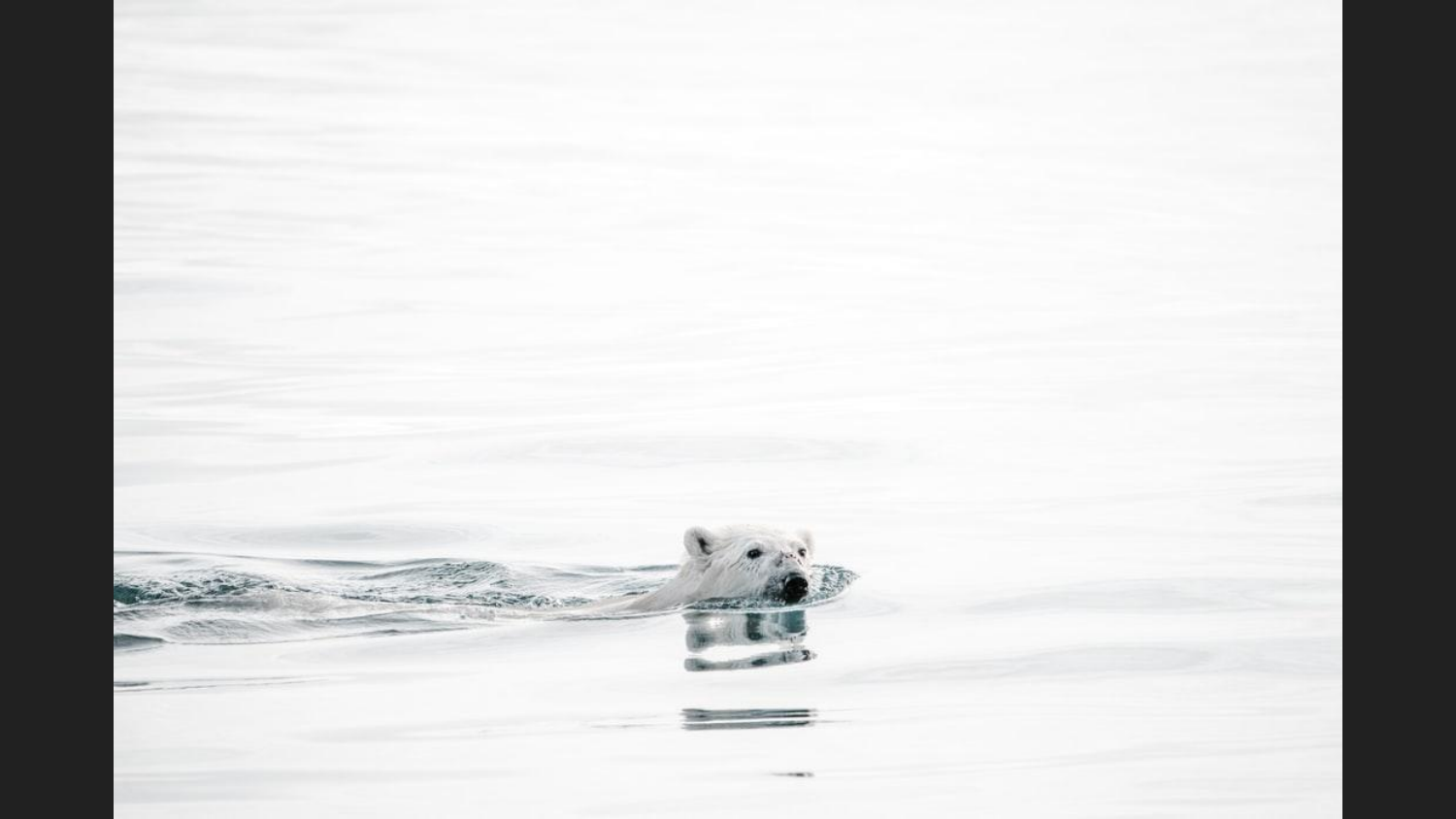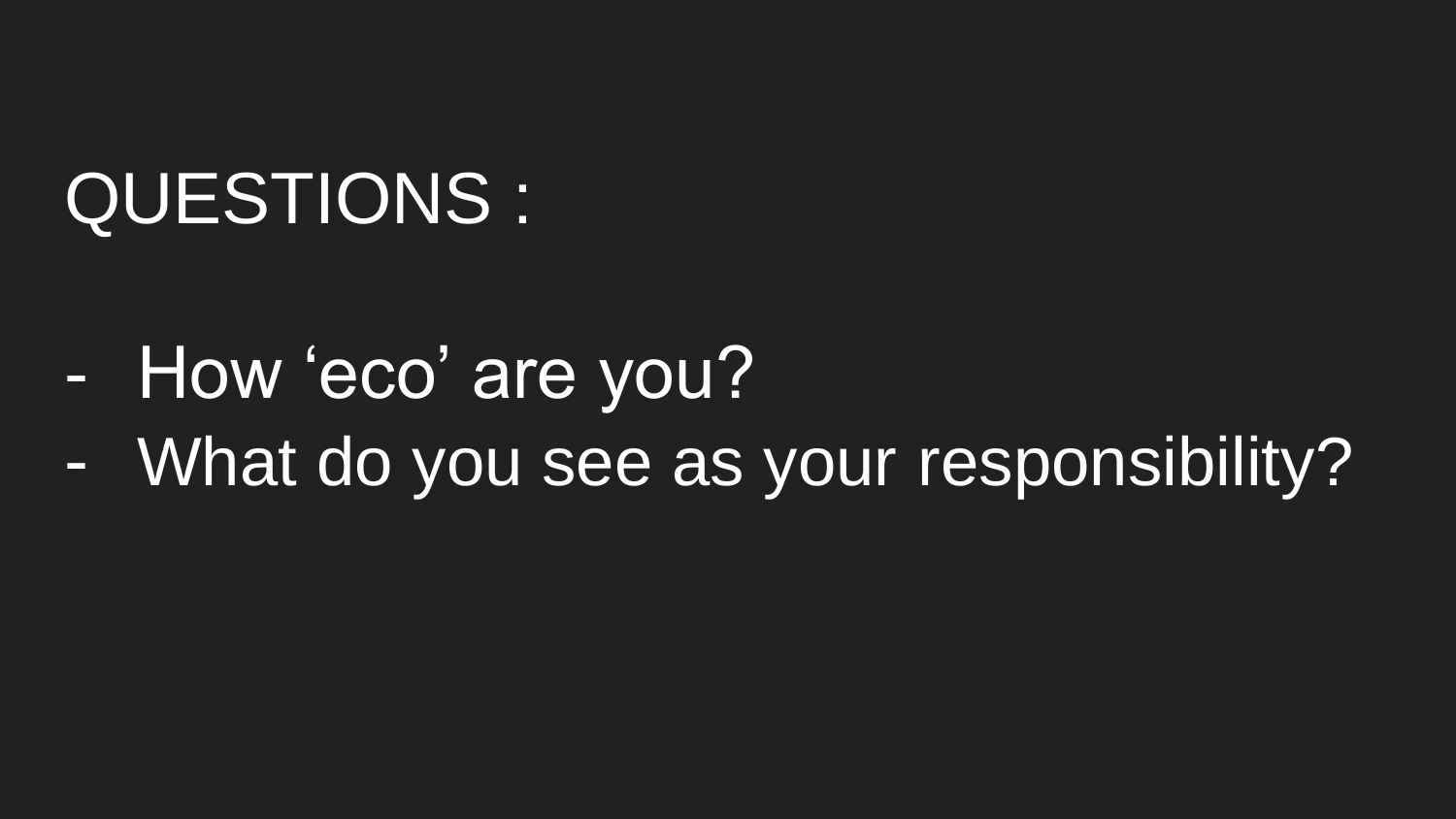### QUESTIONS :

- How 'eco' are you?
- What do you see as your responsibility?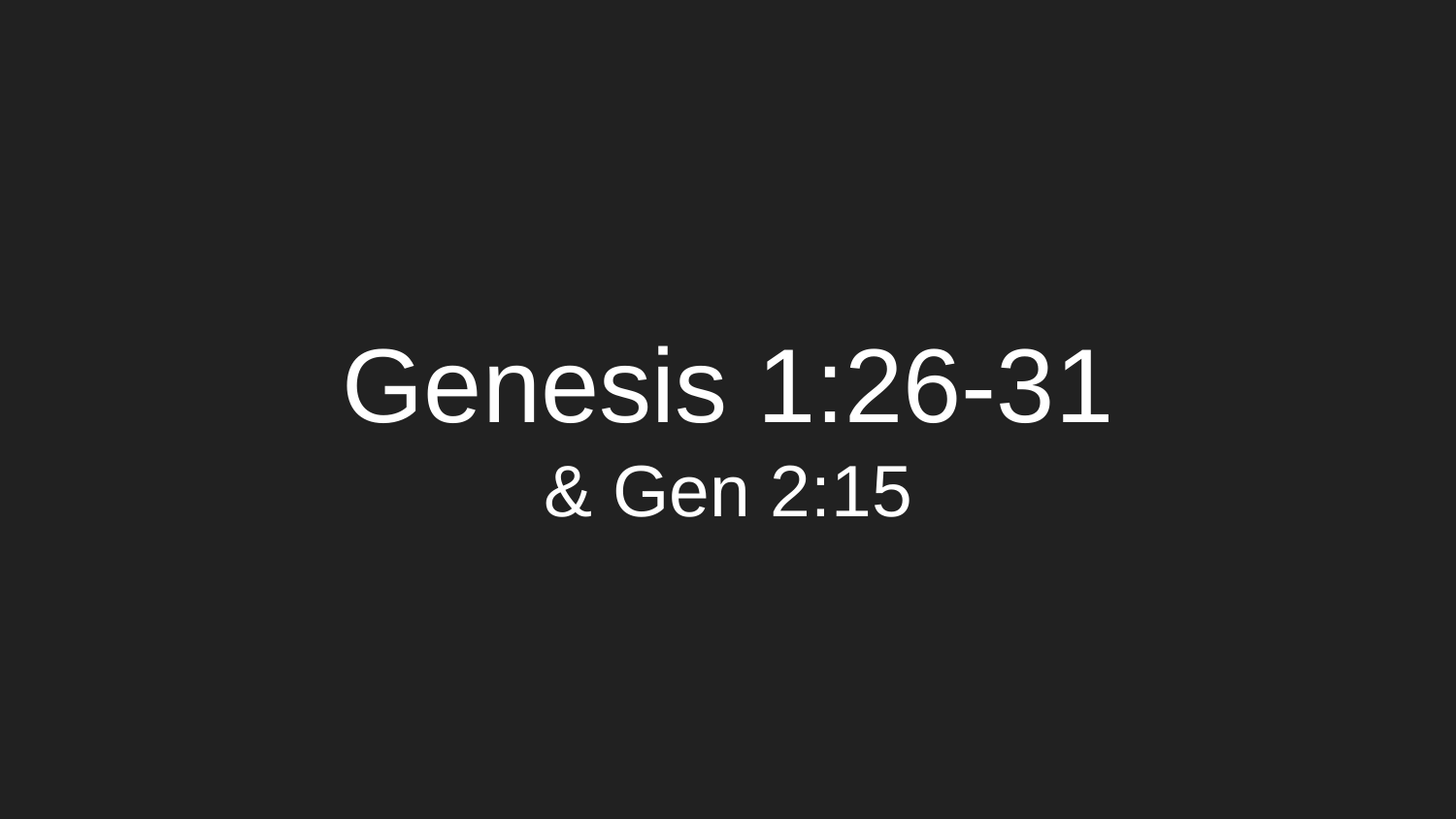# Genesis 1:26-31 & Gen 2:15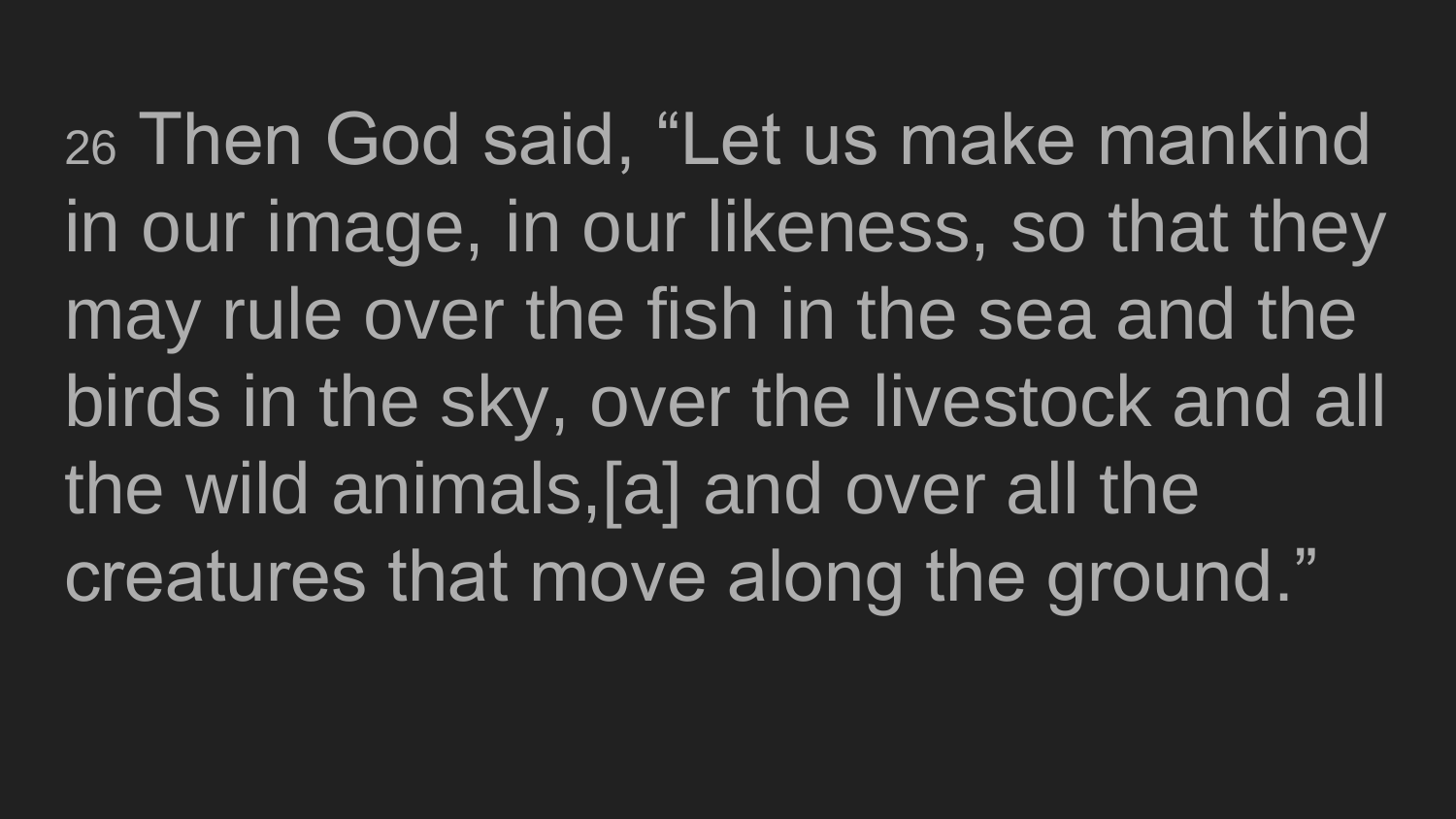26 Then God said, "Let us make mankind in our image, in our likeness, so that they may rule over the fish in the sea and the birds in the sky, over the livestock and all the wild animals,[a] and over all the creatures that move along the ground."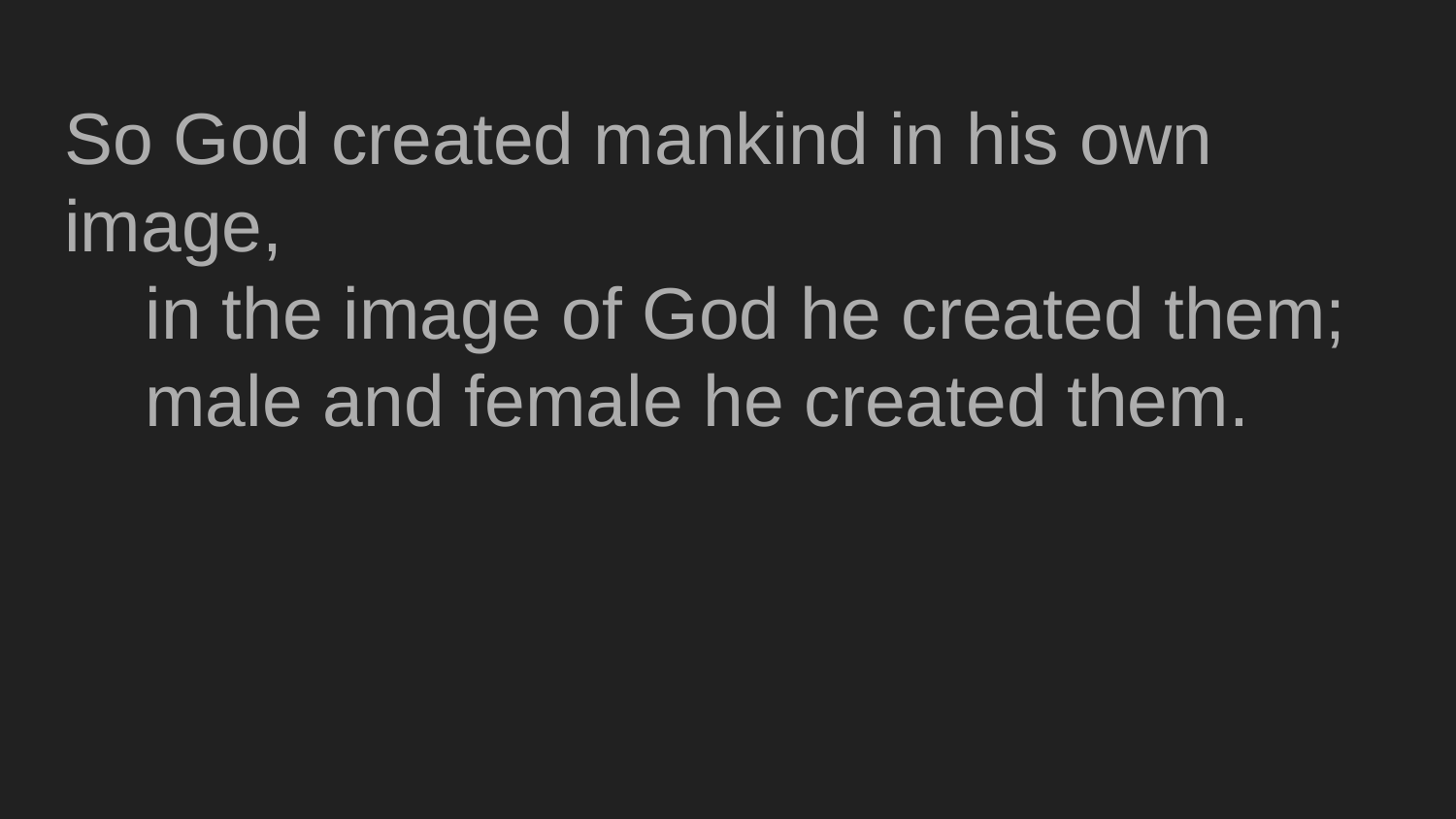## So God created mankind in his own image, in the image of God he created them; male and female he created them.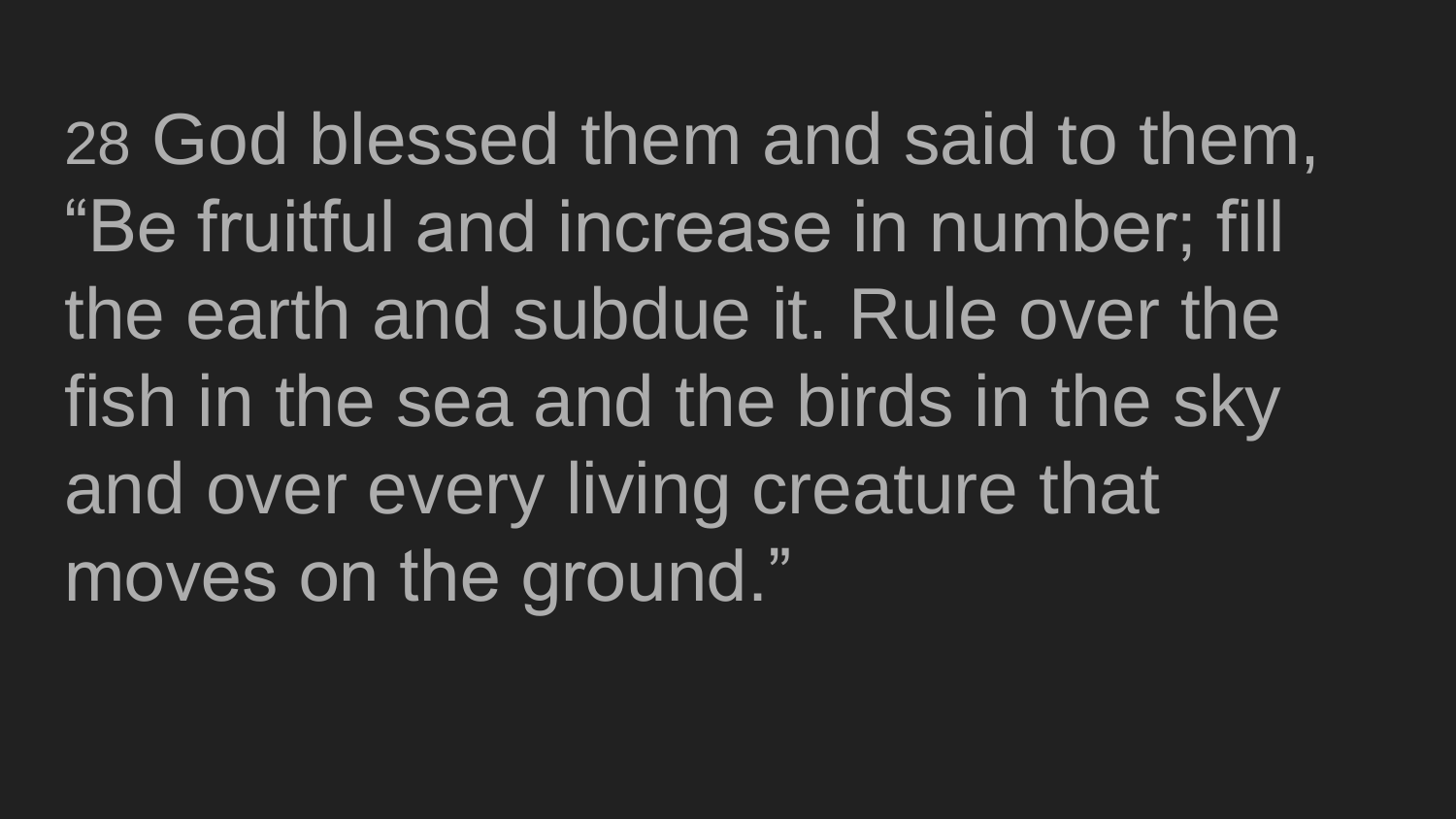28 God blessed them and said to them, "Be fruitful and increase in number; fill the earth and subdue it. Rule over the fish in the sea and the birds in the sky and over every living creature that moves on the ground."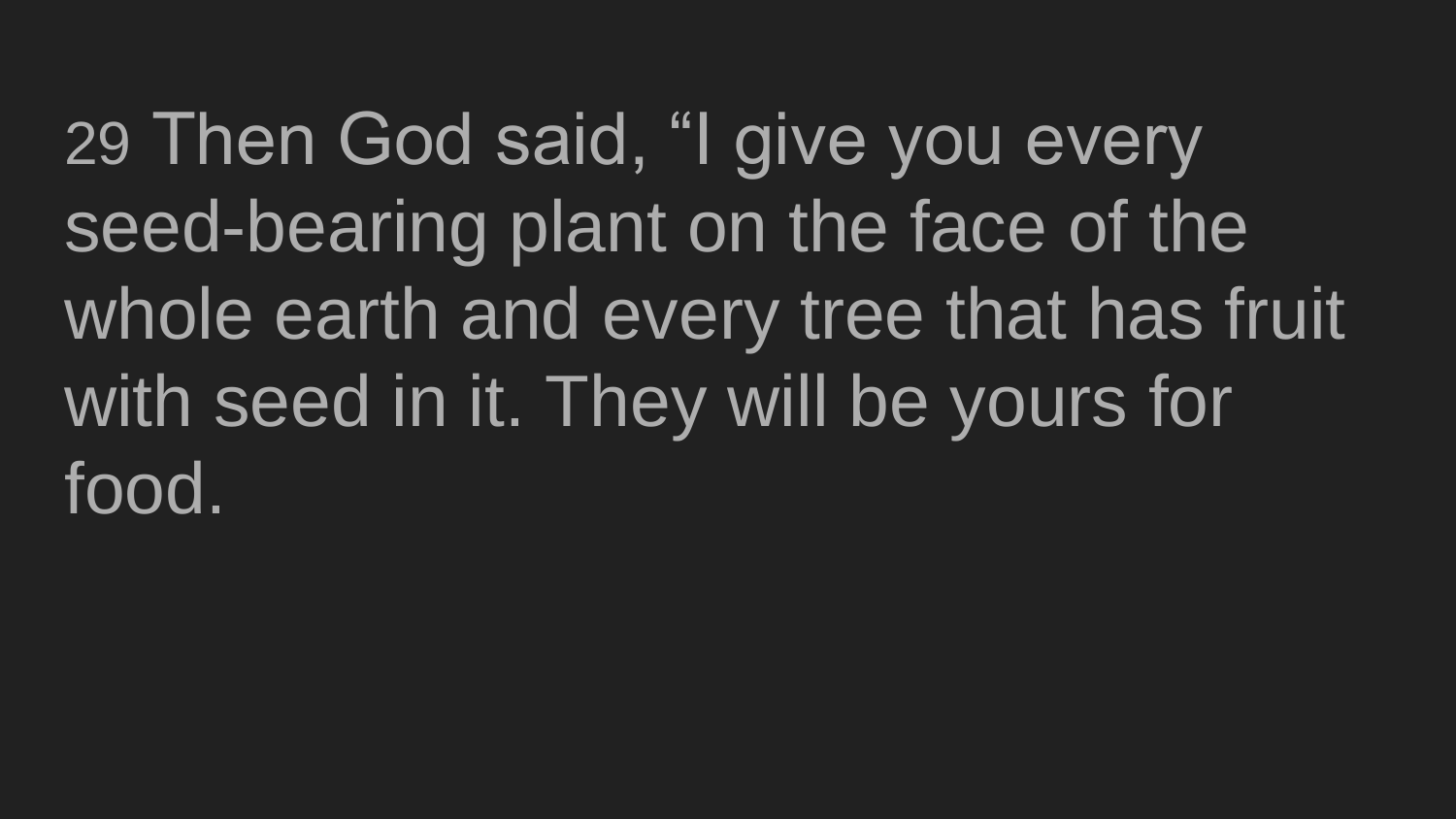29 Then God said, "I give you every seed-bearing plant on the face of the whole earth and every tree that has fruit with seed in it. They will be yours for food.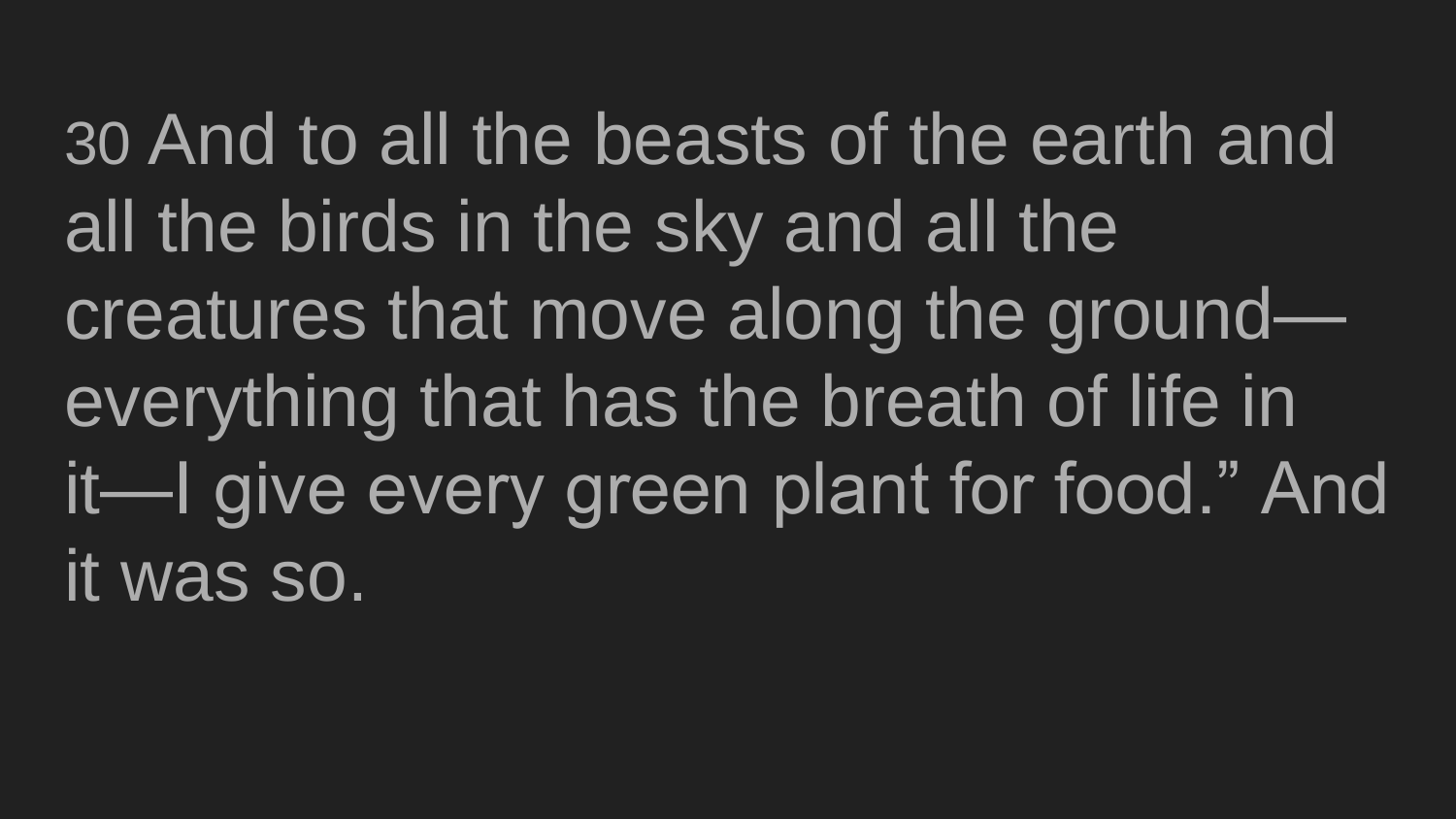30 And to all the beasts of the earth and all the birds in the sky and all the creatures that move along the ground everything that has the breath of life in it—I give every green plant for food." And it was so.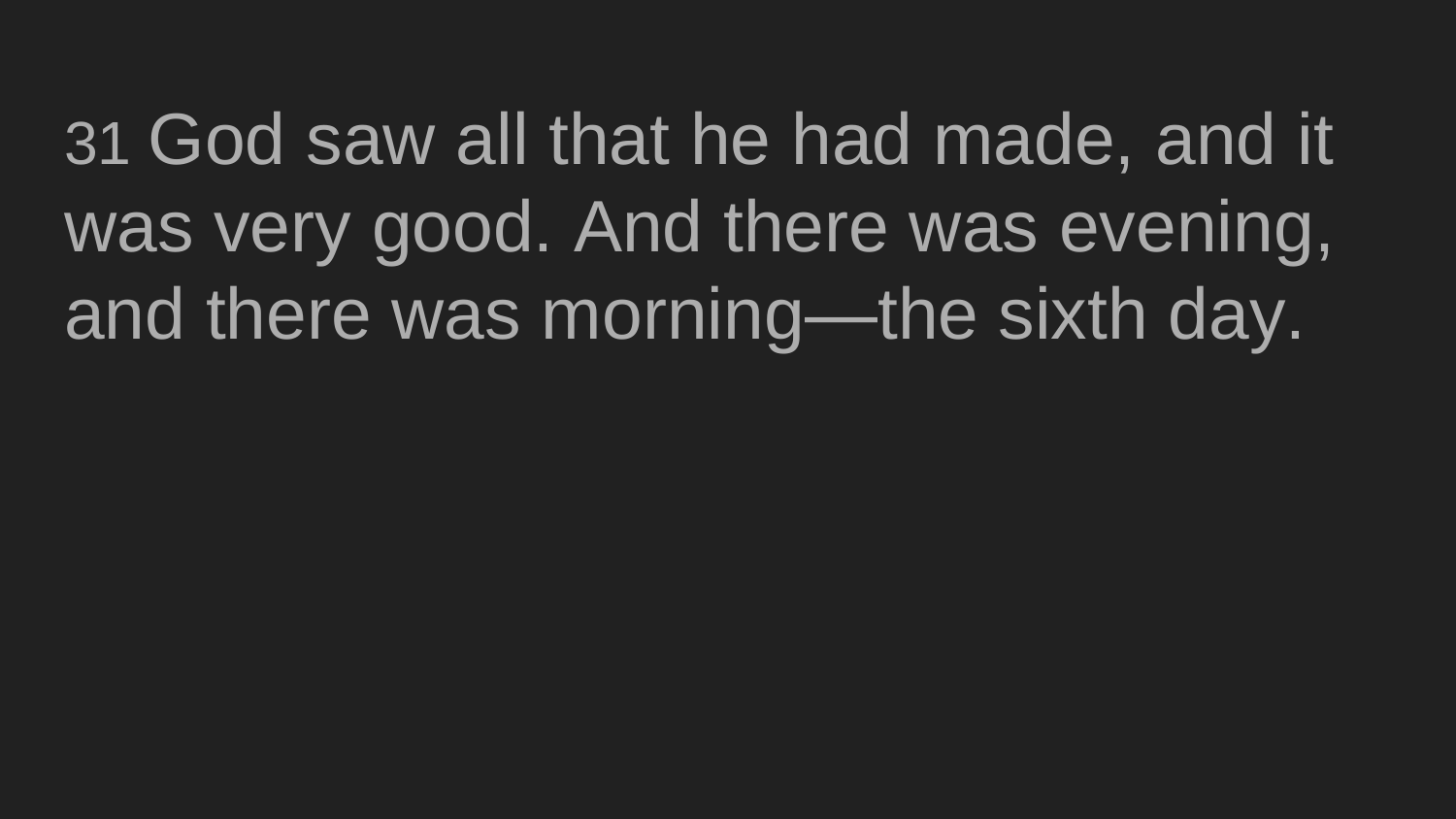## 31 God saw all that he had made, and it was very good. And there was evening, and there was morning—the sixth day.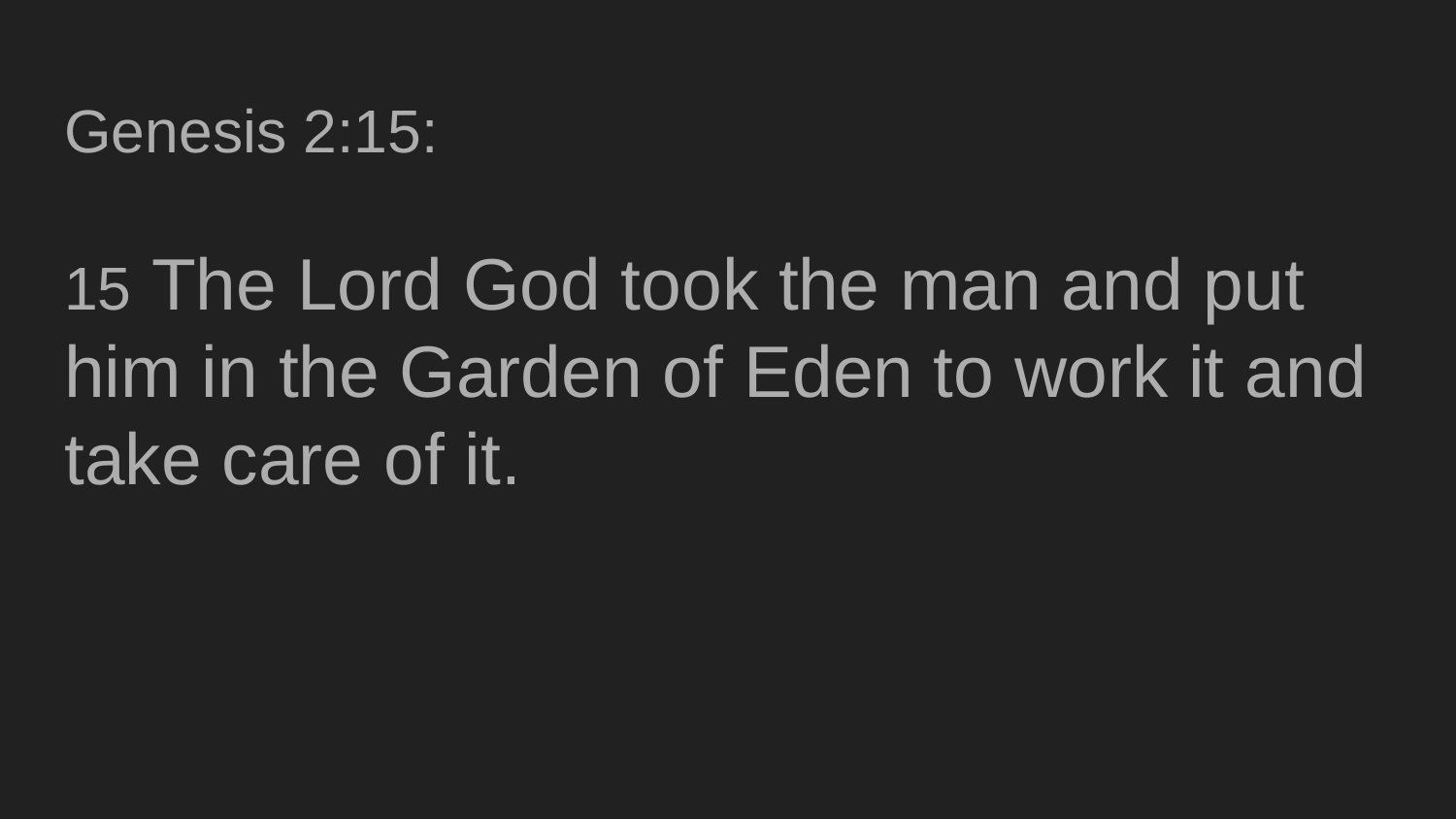### Genesis 2:15:

## 15 The Lord God took the man and put him in the Garden of Eden to work it and take care of it.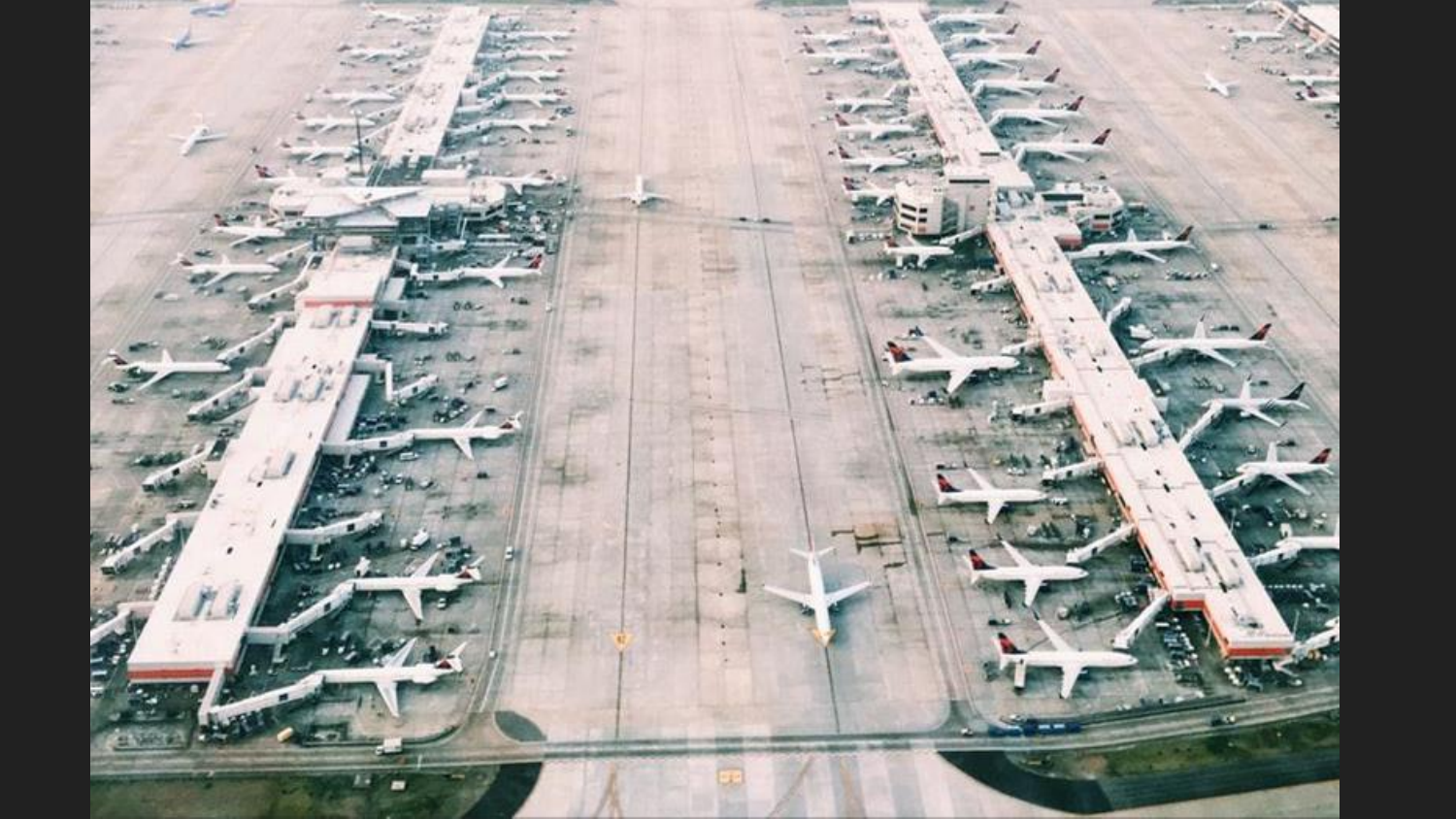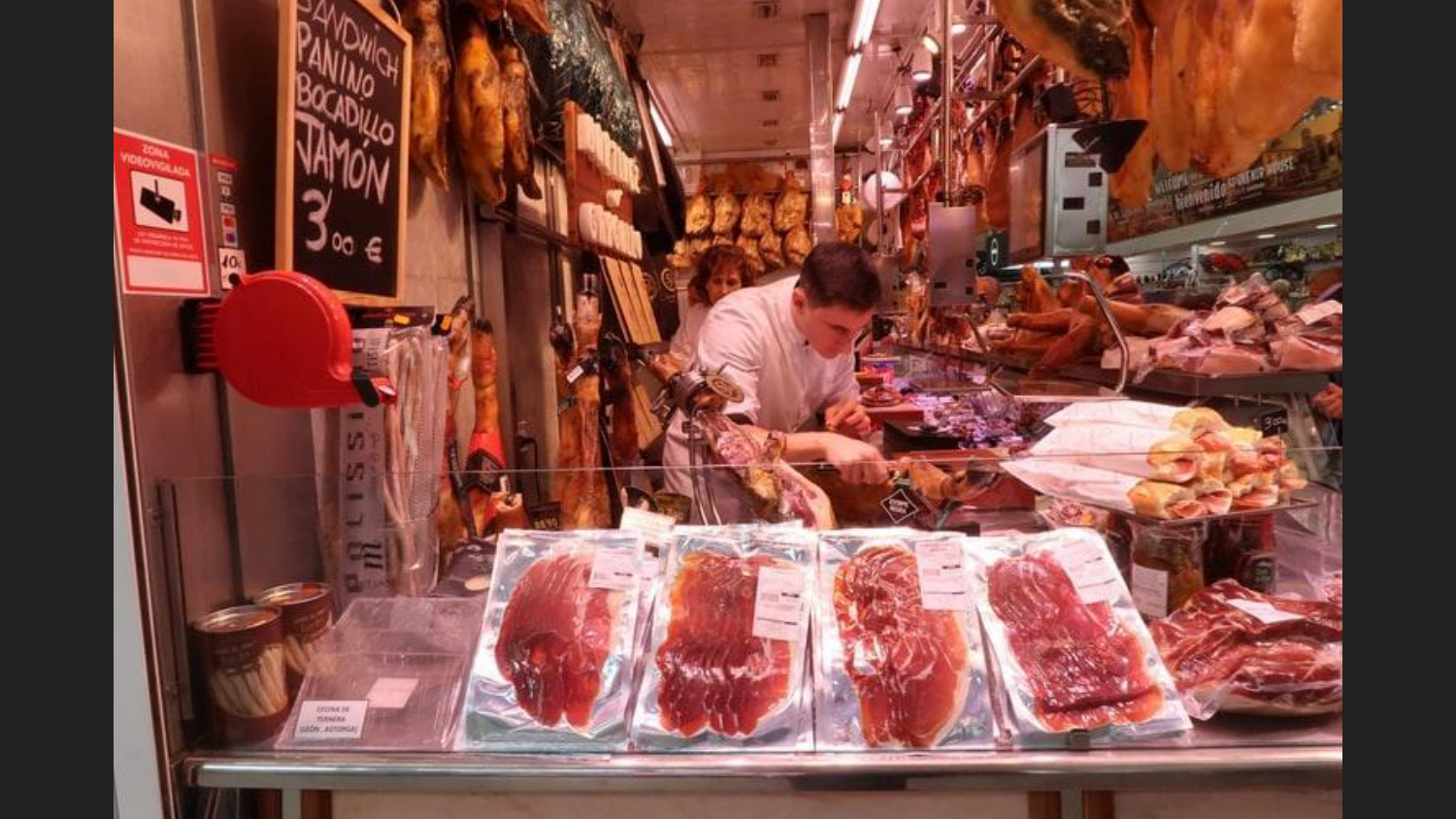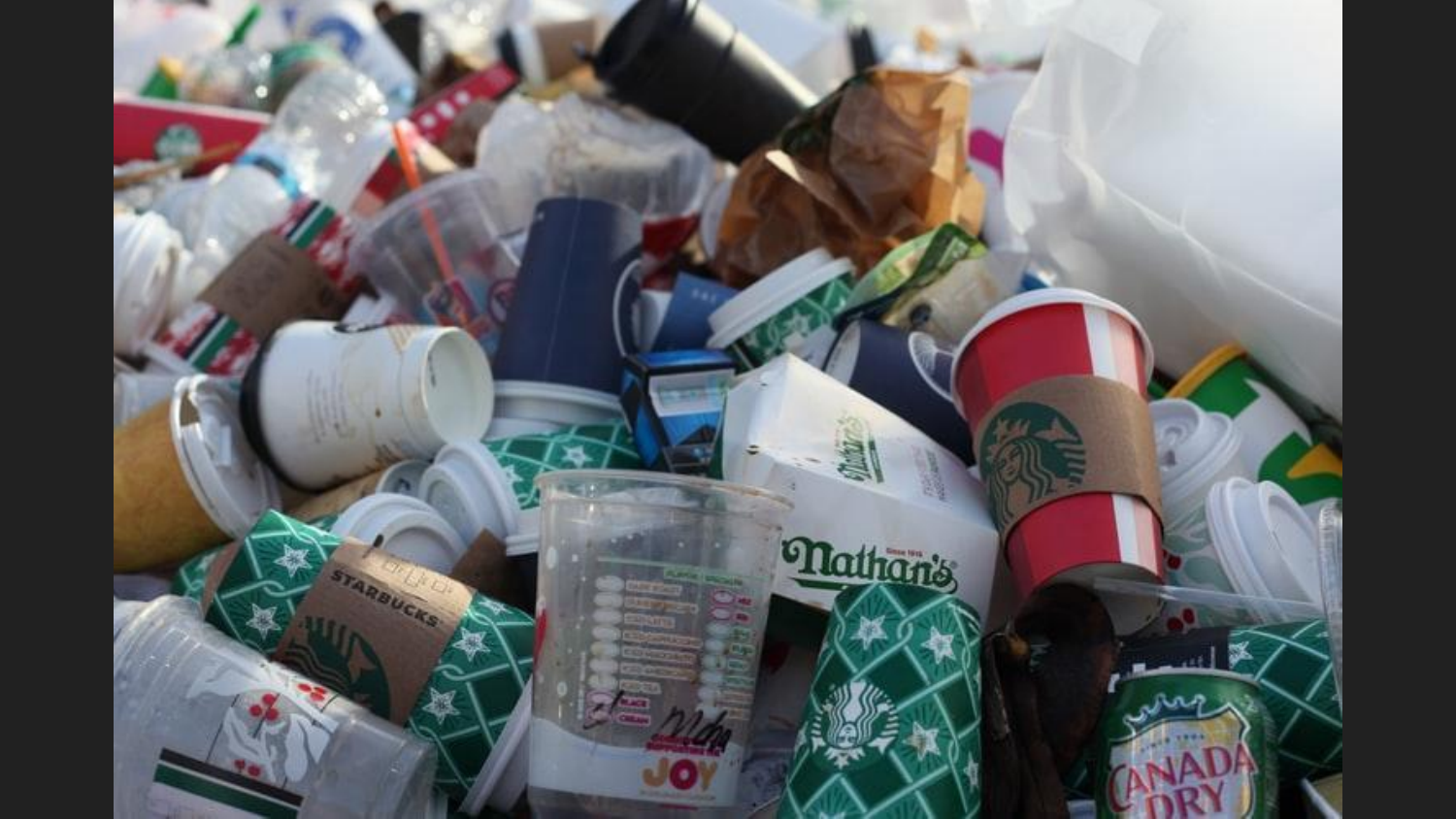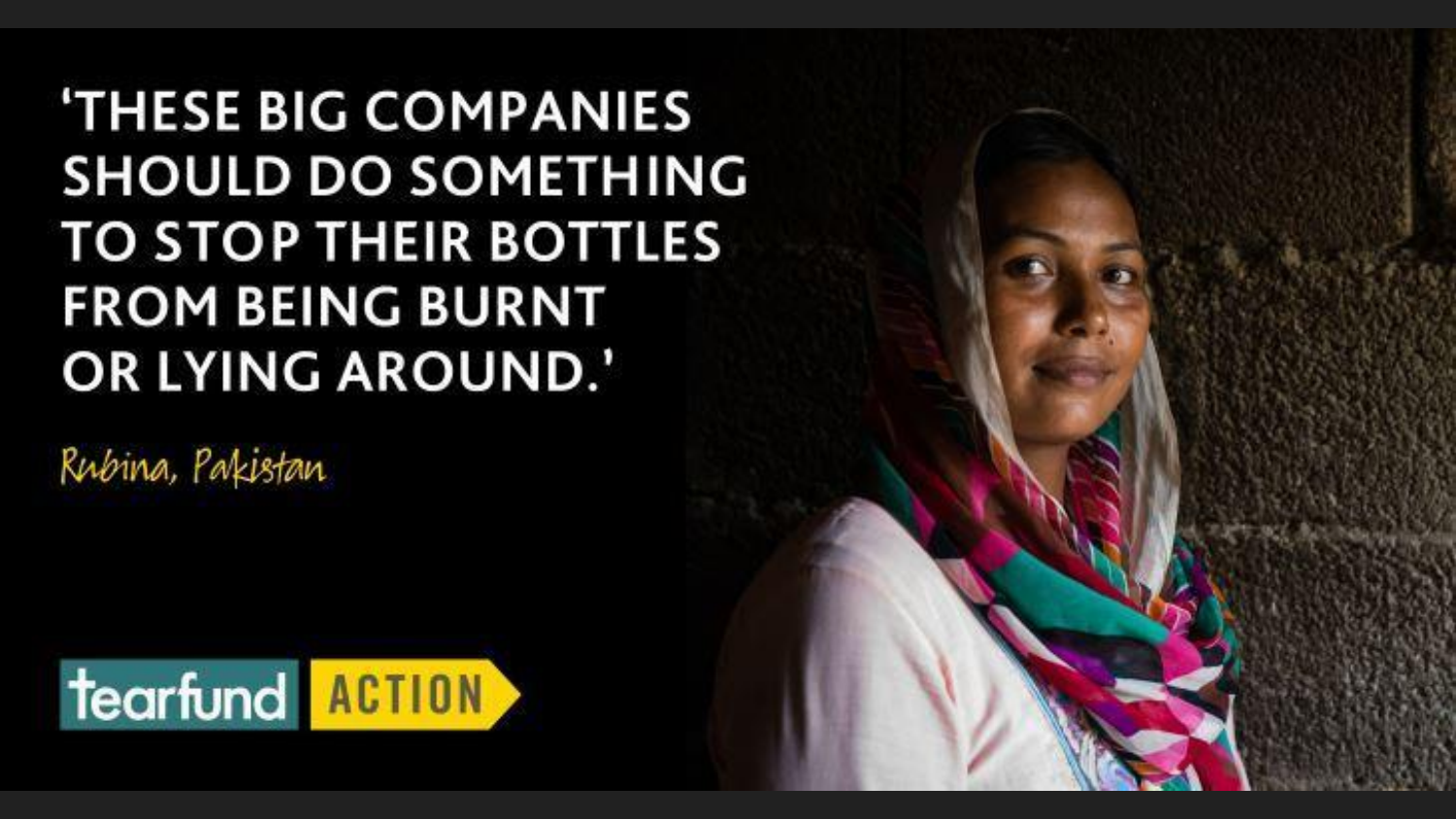'THESE BIG COMPANIES **SHOULD DO SOMETHING TO STOP THEIR BOTTLES FROM BEING BURNT OR LYING AROUND.'** 

Rubina, Pakistan